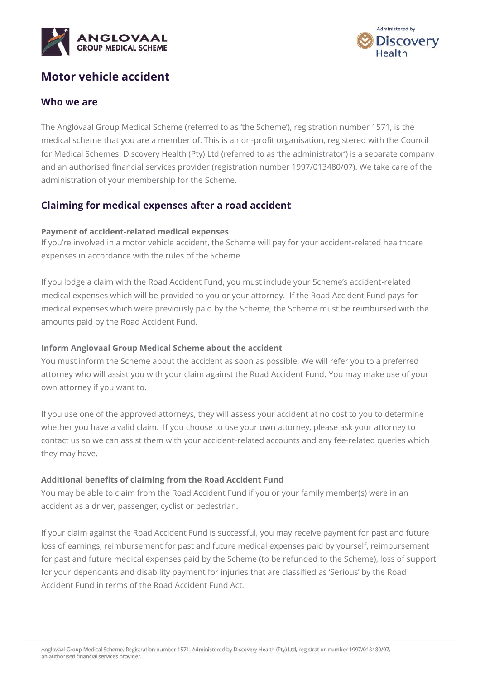



# **Motor vehicle accident**

### **Who we are**

The Anglovaal Group Medical Scheme (referred to as 'the Scheme'), registration number 1571, is the medical scheme that you are a member of. This is a non-profit organisation, registered with the Council for Medical Schemes. Discovery Health (Pty) Ltd (referred to as 'the administrator') is a separate company and an authorised financial services provider (registration number 1997/013480/07). We take care of the administration of your membership for the Scheme.

## **Claiming for medical expenses after a road accident**

#### **Payment of accident-related medical expenses**

If you're involved in a motor vehicle accident, the Scheme will pay for your accident-related healthcare expenses in accordance with the rules of the Scheme.

If you lodge a claim with the Road Accident Fund, you must include your Scheme's accident-related medical expenses which will be provided to you or your attorney. If the Road Accident Fund pays for medical expenses which were previously paid by the Scheme, the Scheme must be reimbursed with the amounts paid by the Road Accident Fund.

#### **Inform Anglovaal Group Medical Scheme about the accident**

You must inform the Scheme about the accident as soon as possible. We will refer you to a preferred attorney who will assist you with your claim against the Road Accident Fund. You may make use of your own attorney if you want to.

If you use one of the approved attorneys, they will assess your accident at no cost to you to determine whether you have a valid claim. If you choose to use your own attorney, please ask your attorney to contact us so we can assist them with your accident-related accounts and any fee-related queries which they may have.

#### **Additional benefits of claiming from the Road Accident Fund**

You may be able to claim from the Road Accident Fund if you or your family member(s) were in an accident as a driver, passenger, cyclist or pedestrian.

If your claim against the Road Accident Fund is successful, you may receive payment for past and future loss of earnings, reimbursement for past and future medical expenses paid by yourself, reimbursement for past and future medical expenses paid by the Scheme (to be refunded to the Scheme), loss of support for your dependants and disability payment for injuries that are classified as 'Serious' by the Road Accident Fund in terms of the Road Accident Fund Act.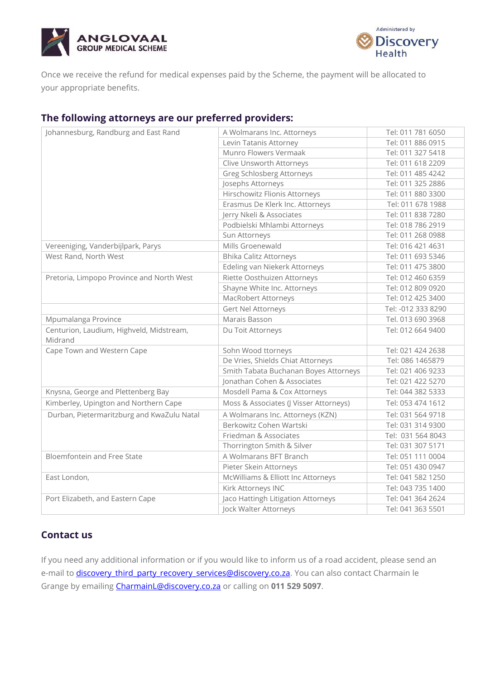



Once we receive the refund for medical expenses paid by the Scheme, the payment will be allocated to your appropriate benefits.

## **The following attorneys are our preferred providers:**

| Johannesburg, Randburg and East Rand       | A Wolmarans Inc. Attorneys             | Tel: 011 781 6050  |
|--------------------------------------------|----------------------------------------|--------------------|
|                                            | Levin Tatanis Attorney                 | Tel: 011 886 0915  |
|                                            | Munro Flowers Vermaak                  | Tel: 011 327 5418  |
|                                            | Clive Unsworth Attorneys               | Tel: 011 618 2209  |
|                                            | Greg Schlosberg Attorneys              | Tel: 011 485 4242  |
|                                            | Josephs Attorneys                      | Tel: 011 325 2886  |
|                                            | Hirschowitz Flionis Attorneys          | Tel: 011 880 3300  |
|                                            | Erasmus De Klerk Inc. Attorneys        | Tel: 011 678 1988  |
|                                            | Jerry Nkeli & Associates               | Tel: 011 838 7280  |
|                                            | Podbielski Mhlambi Attorneys           | Tel: 018 786 2919  |
|                                            | Sun Attorneys                          | Tel: 011 268 0988  |
| Vereeniging, Vanderbijlpark, Parys         | Mills Groenewald                       | Tel: 016 421 4631  |
| West Rand, North West                      | <b>Bhika Calitz Attorneys</b>          | Tel: 011 693 5346  |
|                                            | Edeling van Niekerk Attorneys          | Tel: 011 475 3800  |
| Pretoria, Limpopo Province and North West  | Riette Oosthuizen Attorneys            | Tel: 012 460 6359  |
|                                            | Shayne White Inc. Attorneys            | Tel: 012 809 0920  |
|                                            | <b>MacRobert Attorneys</b>             | Tel: 012 425 3400  |
|                                            | Gert Nel Attorneys                     | Tel: -012 333 8290 |
| Mpumalanga Province                        | Marais Basson                          | Tel. 013 690 3968  |
| Centurion, Laudium, Highveld, Midstream,   | Du Toit Attorneys                      | Tel: 012 664 9400  |
| Midrand                                    |                                        |                    |
| Cape Town and Western Cape                 | Sohn Wood ttorneys                     | Tel: 021 424 2638  |
|                                            | De Vries, Shields Chiat Attorneys      | Tel: 086 1465879   |
|                                            | Smith Tabata Buchanan Boyes Attorneys  | Tel: 021 406 9233  |
|                                            | Jonathan Cohen & Associates            | Tel: 021 422 5270  |
| Knysna, George and Plettenberg Bay         | Mosdell Pama & Cox Attorneys           | Tel: 044 382 5333  |
| Kimberley, Upington and Northern Cape      | Moss & Associates (J Visser Attorneys) | Tel: 053 474 1612  |
| Durban, Pietermaritzburg and KwaZulu Natal | A Wolmarans Inc. Attorneys (KZN)       | Tel: 031 564 9718  |
|                                            | Berkowitz Cohen Wartski                | Tel: 031 314 9300  |
|                                            | Friedman & Associates                  | Tel: 031 564 8043  |
|                                            | Thorrington Smith & Silver             | Tel: 031 307 5171  |
| <b>Bloemfontein and Free State</b>         | A Wolmarans BFT Branch                 | Tel: 051 111 0004  |
|                                            | Pieter Skein Attorneys                 | Tel: 051 430 0947  |
| East London,                               | McWilliams & Elliott Inc Attorneys     | Tel: 041 582 1250  |
|                                            | Kirk Attorneys INC                     | Tel: 043 735 1400  |
| Port Elizabeth, and Eastern Cape           | Jaco Hattingh Litigation Attorneys     | Tel: 041 364 2624  |
|                                            | Jock Walter Attorneys                  | Tel: 041 363 5501  |

## **Contact us**

If you need any additional information or if you would like to inform us of a road accident, please send an e-mail to [discovery\\_third\\_party\\_recovery\\_services@discovery.co.za.](mailto:discovery_third_party_recovery_services@discovery.co.za) You can also contact Charmain le Grange by emailing [CharmainL@discovery.co.za](mailto:CharmainL@discovery.co.za) or calling on **011 529 5097**.